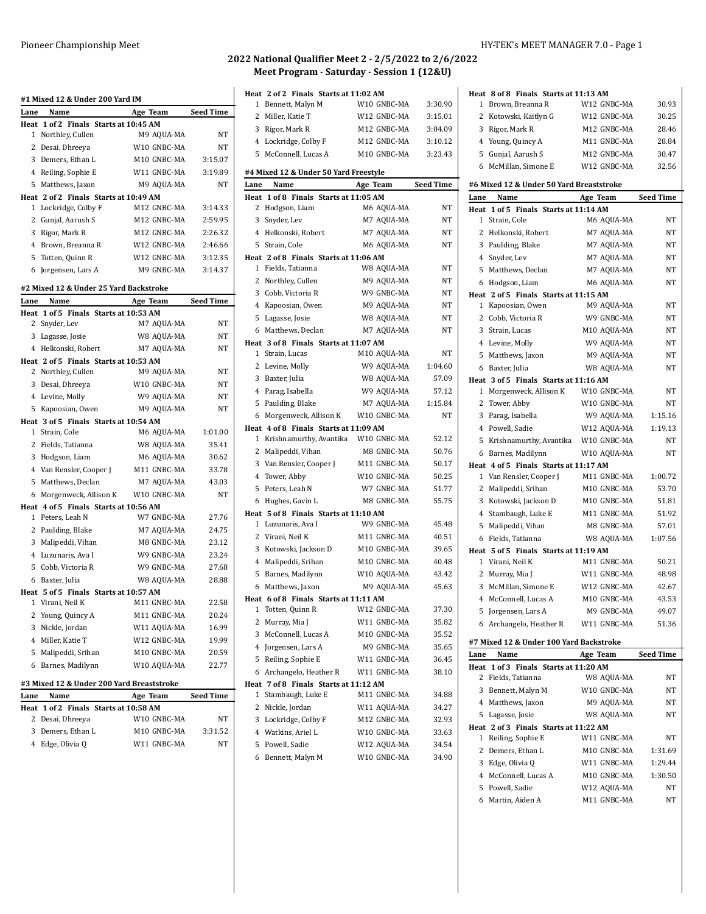| #1 Mixed 12 & Under 200 Yard IM           |                                        |             |           |  |  |
|-------------------------------------------|----------------------------------------|-------------|-----------|--|--|
| Lane                                      | Name                                   | Age Team    | Seed Time |  |  |
|                                           | Heat 1 of 2 Finals Starts at 10:45 AM  |             |           |  |  |
| $\mathbf{1}$                              | Northley, Cullen                       | M9 AQUA-MA  | NΤ        |  |  |
|                                           | 2 Desai, Dhreeya                       | W10 GNBC-MA | NΤ        |  |  |
|                                           | 3 Demers, Ethan L                      | M10 GNBC-MA | 3:15.07   |  |  |
|                                           | 4 Reiling, Sophie E                    | W11 GNBC-MA | 3:19.89   |  |  |
|                                           | 5 Matthews, Jaxon                      | M9 AQUA-MA  | NT        |  |  |
|                                           | Heat 2 of 2 Finals Starts at 10:49 AM  |             |           |  |  |
|                                           | 1 Lockridge, Colby F                   | M12 GNBC-MA | 3:14.33   |  |  |
|                                           | 2 Gunjal, Aarush S                     | M12 GNBC-MA | 2:59.95   |  |  |
|                                           | 3 Rigor, Mark R                        | M12 GNBC-MA | 2:26.32   |  |  |
|                                           | 4 Brown, Breanna R                     | W12 GNBC-MA | 2:46.66   |  |  |
|                                           | 5 Totten, Quinn R                      | W12 GNBC-MA | 3:12.35   |  |  |
|                                           | 6 Jorgensen, Lars A                    | M9 GNBC-MA  | 3:14.37   |  |  |
|                                           | #2 Mixed 12 & Under 25 Yard Backstroke |             |           |  |  |
| Lane                                      | Name                                   | Age Team    | Seed Time |  |  |
| Heat                                      | 1 of 5 Finals Starts at 10:53 AM       |             |           |  |  |
|                                           | 2 Snyder, Lev                          | M7 AQUA-MA  | NΤ        |  |  |
|                                           | 3 Lagasse, Josie                       | W8 AQUA-MA  | NT        |  |  |
|                                           | 4 Helkonski, Robert                    | M7 AQUA-MA  | NT        |  |  |
|                                           | Heat 2 of 5 Finals Starts at 10:53 AM  |             |           |  |  |
|                                           | 2 Northley, Cullen                     | M9 AQUA-MA  | NΤ        |  |  |
|                                           | 3 Desai, Dhreeya                       | W10 GNBC-MA | NΤ        |  |  |
|                                           | 4 Levine, Molly                        | W9 AQUA-MA  | NΤ        |  |  |
|                                           | 5 Kapoosian, Owen                      | M9 AQUA-MA  | NΤ        |  |  |
|                                           | Heat 3 of 5 Finals Starts at 10:54 AM  |             |           |  |  |
|                                           | 1 Strain, Cole                         | M6 AQUA-MA  | 1:01.00   |  |  |
|                                           | 2 Fields, Tatianna                     | W8 AQUA-MA  | 35.41     |  |  |
|                                           | 3 Hodgson, Liam                        | M6 AQUA-MA  | 30.62     |  |  |
|                                           | 4 Van Rensler, Cooper J                | M11 GNBC-MA | 33.78     |  |  |
|                                           | 5 Matthews, Declan                     | M7 AQUA-MA  | 43.03     |  |  |
|                                           | 6 Morgenweck, Allison K                | W10 GNBC-MA | NT        |  |  |
|                                           | Heat 4 of 5 Finals Starts at 10:56 AM  |             |           |  |  |
|                                           | 1 Peters, Leah N                       | W7 GNBC-MA  | 27.76     |  |  |
|                                           | 2 Paulding, Blake                      | M7 AQUA-MA  | 24.75     |  |  |
|                                           | 3 Malipeddi, Vihan                     | M8 GNBC-MA  | 23.12     |  |  |
|                                           | 4 Luzunaris, Ava I                     | W9 GNBC-MA  | 23.24     |  |  |
|                                           | 5 Cobb, Victoria R                     | W9 GNBC-MA  | 27.68     |  |  |
|                                           | 6 Baxter, Julia                        | W8 AQUA-MA  | 28.88     |  |  |
|                                           | Heat 5 of 5 Finals Starts at 10:57 AM  |             |           |  |  |
|                                           | 1 Virani, Neil K                       | M11 GNBC-MA | 22.58     |  |  |
|                                           | 2 Young, Quincy A                      | M11 GNBC-MA | 20.24     |  |  |
|                                           | 3 Nickle, Jordan                       | W11 AQUA-MA | 16.99     |  |  |
|                                           | 4 Miller, Katie T                      | W12 GNBC-MA | 19.99     |  |  |
|                                           | 5 Malipeddi, Srihan                    | M10 GNBC-MA | 20.59     |  |  |
|                                           | 6 Barnes, Madilynn                     | W10 AQUA-MA | 22.77     |  |  |
| #3 Mixed 12 & Under 200 Yard Breaststroke |                                        |             |           |  |  |
| Lane                                      | Name                                   | Age Team    | Seed Time |  |  |
|                                           | Heat 1 of 2 Finals Starts at 10:58 AM  |             |           |  |  |
| 2                                         | Desai, Dhreeya                         | W10 GNBC-MA | NΤ        |  |  |
| 3                                         | Demers, Ethan L                        | M10 GNBC-MA | 3:31.52   |  |  |

Edge, Olivia Q W11 GNBC-MA NT

W12 GNBC-MA 30.93

**Heat 8 of 8 Finals Starts at 11:13 AM**<br>1 Brown, Breanna R W12 GN

## **2022 National Qualifier Meet 2 - 2/5/2022 to 2/6/2022 Meet Program - Saturday - Session 1 (12&U)**

|              | Heat 2 of 2 Finals Starts at 11:02 AM<br>1 Bennett, Malyn M      | W10 GNBC-MA | 3:30.90          |
|--------------|------------------------------------------------------------------|-------------|------------------|
| 2            | Miller, Katie T                                                  | W12 GNBC-MA | 3:15.01          |
|              |                                                                  | M12 GNBC-MA | 3:04.09          |
|              | 3 Rigor, Mark R<br>4 Lockridge, Colby F                          | M12 GNBC-MA | 3:10.12          |
|              |                                                                  | M10 GNBC-MA | 3:23.43          |
|              | 5 McConnell, Lucas A                                             |             |                  |
|              | #4 Mixed 12 & Under 50 Yard Freestyle                            |             |                  |
| Lane         | Name                                                             | Age Team    | <b>Seed Time</b> |
|              | Heat 1 of 8 Finals Starts at 11:05 AM                            |             |                  |
|              | 2 Hodgson, Liam                                                  | M6 AQUA-MA  | ΝT               |
| 3            | Snyder, Lev                                                      | M7 AQUA-MA  | NT               |
|              | 4 Helkonski, Robert                                              | M7 AQUA-MA  | NT               |
|              | 5 Strain, Cole                                                   | M6 AQUA-MA  | NT               |
|              | Heat 2 of 8 Finals Starts at 11:06 AM                            |             |                  |
|              | 1 Fields, Tatianna                                               | W8 AQUA-MA  | NT               |
|              | 2 Northley, Cullen                                               | M9 AQUA-MA  | NT               |
|              | 3 Cobb, Victoria R                                               | W9 GNBC-MA  | NT               |
|              | 4 Kapoosian, Owen                                                | M9 AQUA-MA  | NT               |
|              | 5 Lagasse, Josie                                                 | W8 AQUA-MA  | <b>NT</b>        |
|              | 6 Matthews, Declan                                               | M7 AQUA-MA  | NT               |
|              | Heat 3 of 8 Finals Starts at 11:07 AM                            |             |                  |
| $\mathbf{1}$ | Strain, Lucas                                                    | M10 AQUA-MA | NT               |
| 2            | Levine, Molly                                                    | W9 AQUA-MA  | 1:04.60          |
|              | 3 Baxter, Julia                                                  | W8 AQUA-MA  | 57.09            |
|              | 4 Parag, Isabella                                                | W9 AQUA-MA  | 57.12            |
|              | 5 Paulding, Blake                                                | M7 AQUA-MA  | 1:15.84          |
|              | 6 Morgenweck, Allison K                                          | W10 GNBC-MA | <b>NT</b>        |
| 1            | Heat 4 of 8 Finals Starts at 11:09 AM<br>Krishnamurthy, Avantika | W10 GNBC-MA | 52.12            |
|              | 2 Malipeddi, Vihan                                               | M8 GNBC-MA  | 50.76            |
|              | 3 Van Rensler, Cooper J                                          | M11 GNBC-MA | 50.17            |
|              | 4 Tower, Abby                                                    | W10 GNBC-MA | 50.25            |
|              | 5 Peters, Leah N                                                 | W7 GNBC-MA  | 51.77            |
|              | 6 Hughes, Gavin L                                                | M8 GNBC-MA  | 55.75            |
|              | Heat 5 of 8 Finals Starts at 11:10 AM                            |             |                  |
| $\mathbf{1}$ | Luzunaris, Ava I                                                 | W9 GNBC-MA  | 45.48            |
|              | 2 Virani, Neil K                                                 | M11 GNBC-MA | 40.51            |
|              | 3 Kotowski, Jackson D                                            | M10 GNBC-MA | 39.65            |
|              | 4 Malipeddi, Srihan                                              | M10 GNBC-MA | 40.48            |
| 5            | Barnes, Madilynn                                                 | W10 AQUA-MA | 43.42            |
| 6            | Matthews, Jaxon                                                  | M9 AQUA-MA  | 45.63            |
|              | Heat 6 of 8 Finals Starts at 11:11 AM                            |             |                  |
| 1            | Totten, Quinn R                                                  | W12 GNBC-MA | 37.30            |
| 2            | Murray, Mia J                                                    | W11 GNBC-MA | 35.82            |
|              | 3 McConnell, Lucas A                                             | M10 GNBC-MA | 35.52            |
|              | 4 Jorgensen, Lars A                                              | M9 GNBC-MA  | 35.65            |
|              | 5 Reiling, Sophie E                                              | W11 GNBC-MA | 36.45            |
|              | 6 Archangelo, Heather R                                          | W11 GNBC-MA | 38.10            |
|              | Heat 7 of 8 Finals Starts at 11:12 AM                            |             |                  |
| 1            | Stambaugh, Luke E                                                | M11 GNBC-MA | 34.88            |
| 2            | Nickle, Jordan                                                   | W11 AQUA-MA | 34.27            |
|              | 3 Lockridge, Colby F                                             | M12 GNBC-MA | 32.93            |
|              | 4 Watkins, Ariel L                                               | W10 GNBC-MA | 33.63            |
|              | 5 Powell, Sadie                                                  | W12 AQUA-MA | 34.54            |
|              | 6 Bennett, Malyn M                                               | W10 GNBC-MA | 34.90            |

| 2    | Kotowski, Kaitlyn G                      | W12 GNBC-MA | 30.25            |
|------|------------------------------------------|-------------|------------------|
|      | 3 Rigor, Mark R                          | M12 GNBC-MA | 28.46            |
|      | 4 Young, Quincy A                        | M11 GNBC-MA | 28.84            |
|      | 5 Gunjal, Aarush S                       | M12 GNBC-MA | 30.47            |
|      | 6 McMillan, Simone E                     | W12 GNBC-MA | 32.56            |
|      |                                          |             |                  |
|      | #6 Mixed 12 & Under 50 Yard Breaststroke |             |                  |
| Lane | Name                                     | Age Team    | <b>Seed Time</b> |
|      | Heat 1 of 5 Finals Starts at 11:14 AM    |             |                  |
|      | 1 Strain, Cole                           | M6 AQUA-MA  | NΤ               |
|      | 2 Helkonski, Robert                      | M7 AQUA-MA  | NΤ               |
| 3    | Paulding, Blake                          | M7 AQUA-MA  | NT               |
|      | 4 Snyder, Lev                            | M7 AQUA-MA  | NT               |
|      | 5 Matthews, Declan                       | M7 AQUA-MA  | NΤ               |
|      | 6 Hodgson, Liam                          | M6 AQUA-MA  | NΤ               |
|      | Heat 2 of 5 Finals Starts at 11:15 AM    |             |                  |
|      | 1 Kapoosian, Owen                        | M9 AQUA-MA  | NT               |
|      | 2 Cobb, Victoria R                       | W9 GNBC-MA  | NΤ               |
|      | 3 Strain, Lucas                          | M10 AQUA-MA | NT               |
|      | 4 Levine, Molly                          | W9 AQUA-MA  | NT               |
| 5    | Matthews, Jaxon                          | M9 AQUA-MA  | NΤ               |
|      | 6 Baxter, Julia                          | W8 AQUA-MA  | NΤ               |
|      | Heat 3 of 5 Finals Starts at 11:16 AM    |             |                  |
|      | 1 Morgenweck, Allison K                  | W10 GNBC-MA | NΤ               |
|      | 2 Tower, Abby                            | W10 GNBC-MA | NΤ               |
|      | 3 Parag, Isabella                        | W9 AQUA-MA  | 1:15.16          |
|      | 4 Powell, Sadie                          | W12 AQUA-MA | 1:19.13          |
| 5    | Krishnamurthy, Avantika                  | W10 GNBC-MA | NΤ               |
|      |                                          |             |                  |
|      |                                          |             |                  |
| 6    | Barnes, Madilynn                         | W10 AQUA-MA | NΤ               |
|      | Heat 4 of 5 Finals Starts at 11:17 AM    |             |                  |
|      | 1 Van Rensler, Cooper J                  | M11 GNBC-MA | 1:00.72          |
|      | 2 Malipeddi, Srihan                      | M10 GNBC-MA | 53.70            |
|      | 3 Kotowski, Jackson D                    | M10 GNBC-MA | 51.81            |
|      | 4 Stambaugh, Luke E                      | M11 GNBC-MA | 51.92            |
|      | 5 Malipeddi, Vihan                       | M8 GNBC-MA  | 57.01            |
| 6    | Fields, Tatianna                         | W8 AQUA-MA  | 1:07.56          |
|      | Heat 5 of 5 Finals Starts at 11:19 AM    |             |                  |
|      | 1 Virani, Neil K                         | M11 GNBC-MA | 50.21            |
| 2    | Murray, Mia J                            | W11 GNBC-MA | 48.98            |
| 3    | McMillan, Simone E                       | W12 GNBC-MA | 42.67            |
|      | 4 McConnell, Lucas A                     | M10 GNBC-MA | 43.53            |
| 5    | Jorgensen, Lars A                        | M9 GNBC-MA  | 49.07            |
| 6    | Archangelo, Heather R                    | W11 GNBC-MA | 51.36            |
|      | #7 Mixed 12 & Under 100 Yard Backstroke  |             |                  |
| Lane | Name                                     | Age Team    | <b>Seed Time</b> |
|      | Heat 1 of 3 Finals Starts at 11:20 AM    |             |                  |
| 2    | Fields, Tatianna                         | W8 AQUA-MA  | NΤ               |
| 3    | Bennett, Malyn M                         | W10 GNBC-MA | NΤ               |
|      | 4 Matthews, Jaxon                        | M9 AQUA-MA  | NT               |
| 5    | Lagasse, Josie                           | W8 AQUA-MA  | NΤ               |
|      | Heat 2 of 3 Finals Starts at 11:22 AM    |             |                  |
|      | 1 Reiling, Sophie E                      | W11 GNBC-MA | NT               |
| 2    | Demers, Ethan L                          | M10 GNBC-MA | 1:31.69          |
|      |                                          | W11 GNBC-MA | 1:29.44          |
|      | 3 Edge, Olivia Q<br>4 McConnell, Lucas A | M10 GNBC-MA | 1:30.50          |

Martin, Aiden A M11 GNBC-MA NT